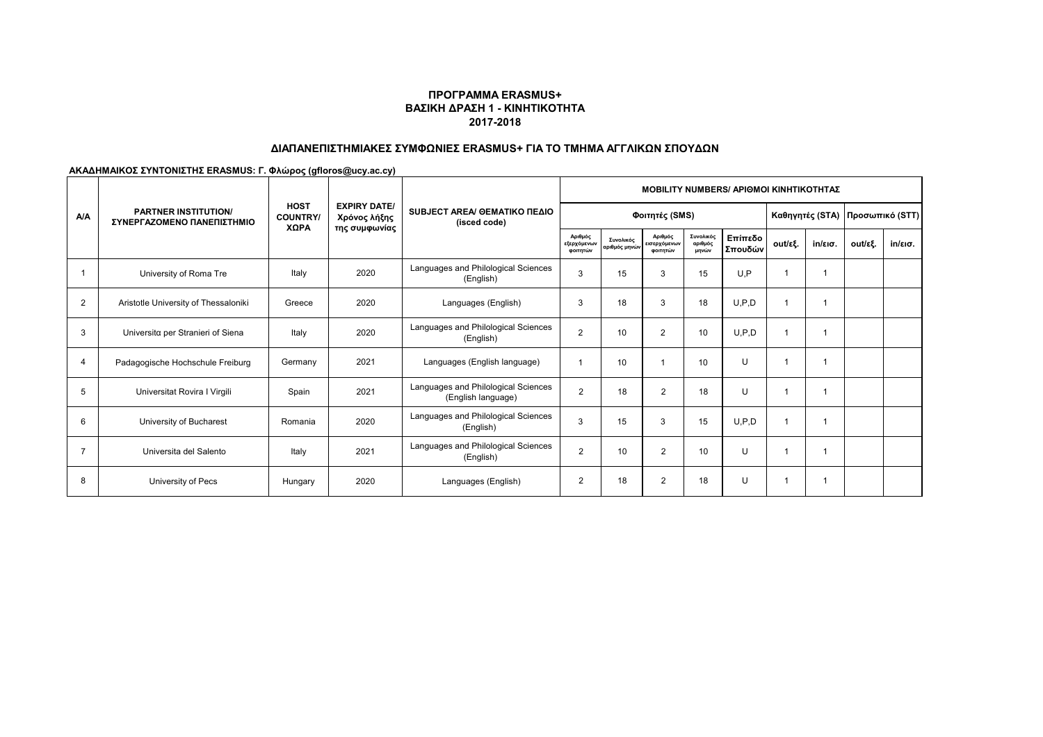# **ΔΙΑΠΑΝΕΠΙΣΤΗΜΙΑΚΕΣ ΣΥΜΦΩΝΙΕΣ ERASMUS+ ΓΙΑ ΤΟ ΤΜΗΜΑ ΑΓΓΛΙΚΩΝ ΣΠΟΥΔΩΝ**

|                | <b>PARTNER INSTITUTION/</b><br>ΣΥΝΕΡΓΑΖΟΜΕΝΟ ΠΑΝΕΠΙΣΤΗΜΙΟ |                                       |                                                      | SUBJECT AREA/ GEMATIKO ΠΕΔΙΟ<br>(isced code)              | <b>ΜΟΒΙLITY NUMBERS/ ΑΡΙΘΜΟΙ ΚΙΝΗΤΙΚΟΤΗΤΑΣ</b> |                            |                                     |                               |                    |                                   |                   |         |                   |  |
|----------------|-----------------------------------------------------------|---------------------------------------|------------------------------------------------------|-----------------------------------------------------------|------------------------------------------------|----------------------------|-------------------------------------|-------------------------------|--------------------|-----------------------------------|-------------------|---------|-------------------|--|
| <b>A/A</b>     |                                                           | <b>HOST</b><br><b>COUNTRY</b><br>ΧΩΡΑ | <b>EXPIRY DATE/</b><br>Χρόνος λήξης<br>της συμφωνίας |                                                           |                                                | Φοιτητές (SMS)             |                                     |                               |                    | Καθηγητές (STA)   Προσωπικό (STT) |                   |         |                   |  |
|                |                                                           |                                       |                                                      |                                                           | Αριθμός<br>εξερχόμενων<br>φοιτητών             | Συνολικός<br>αριθμός μηνών | Αριθμός<br>εισερχόμενων<br>φοιτητών | Συνολικός<br>αριθμός<br>μηνών | Επίπεδο<br>Σπουδών | out/εξ.                           | $in/\epsilon$ ισ. | out/εξ. | $in/\epsilon$ ισ. |  |
|                | University of Roma Tre                                    | Italy                                 | 2020                                                 | Languages and Philological Sciences<br>(English)          | 3                                              | 15                         | 3                                   | 15                            | U.P                |                                   |                   |         |                   |  |
| $\overline{2}$ | Aristotle University of Thessaloniki                      | Greece                                | 2020                                                 | Languages (English)                                       | 3                                              | 18                         | 3                                   | 18                            | U.P.D              |                                   |                   |         |                   |  |
| 3              | Universita per Stranieri of Siena                         | Italy                                 | 2020                                                 | Languages and Philological Sciences<br>(English)          | $\overline{2}$                                 | 10                         | $\overline{2}$                      | 10                            | U.P.D              |                                   |                   |         |                   |  |
| 4              | Padagogische Hochschule Freiburg                          | Germany                               | 2021                                                 | Languages (English language)                              |                                                | 10                         |                                     | 10                            | $\cup$             |                                   |                   |         |                   |  |
| 5              | Universitat Rovira I Virgili                              | Spain                                 | 2021                                                 | Languages and Philological Sciences<br>(English language) | $\overline{2}$                                 | 18                         | 2                                   | 18                            | $\cup$             |                                   | 1                 |         |                   |  |
| 6              | University of Bucharest                                   | Romania                               | 2020                                                 | Languages and Philological Sciences<br>(English)          | 3                                              | 15                         | 3                                   | 15                            | U.P.D              |                                   | 1                 |         |                   |  |
| 7              | Universita del Salento                                    | Italy                                 | 2021                                                 | Languages and Philological Sciences<br>(English)          | $\overline{2}$                                 | 10                         | $\overline{2}$                      | 10                            | $\cup$             |                                   |                   |         |                   |  |
| 8              | University of Pecs                                        | Hungary                               | 2020                                                 | Languages (English)                                       | $\overline{2}$                                 | 18                         | $\overline{2}$                      | 18                            | $\cup$             |                                   | 1                 |         |                   |  |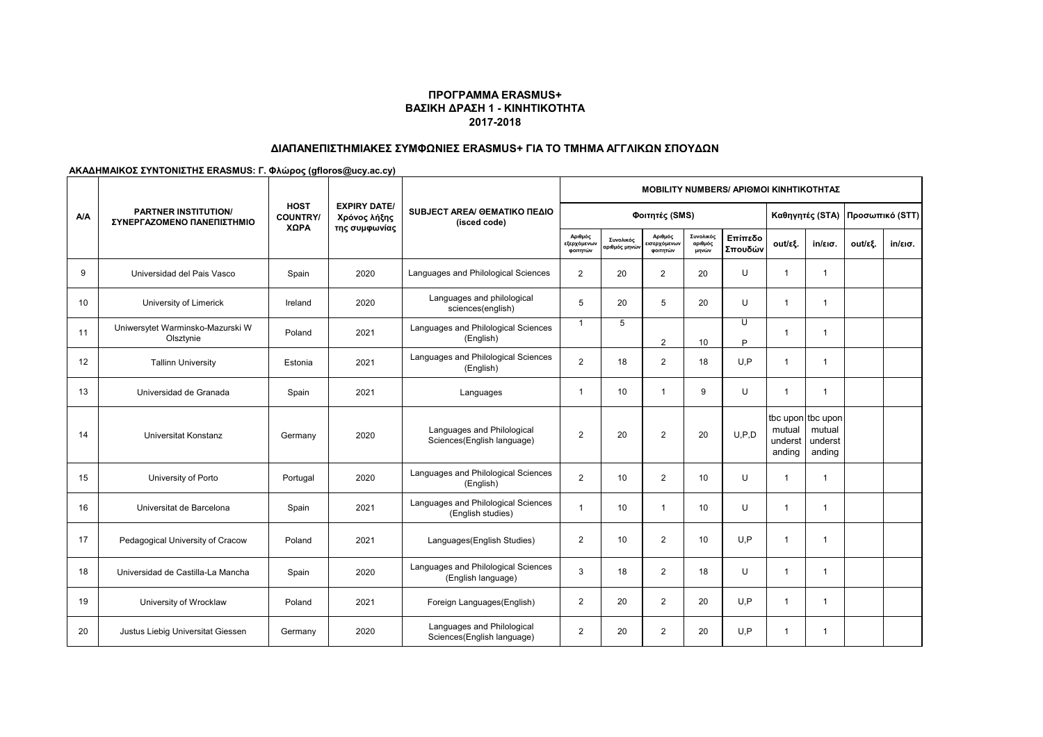# **ΔΙΑΠΑΝΕΠΙΣΤΗΜΙΑΚΕΣ ΣΥΜΦΩΝΙΕΣ ERASMUS+ ΓΙΑ ΤΟ ΤΜΗΜΑ ΑΓΓΛΙΚΩΝ ΣΠΟΥΔΩΝ**

|            | <b>PARTNER INSTITUTION/</b><br>ΣΥΝΕΡΓΑΖΟΜΕΝΟ ΠΑΝΕΠΙΣΤΗΜΙΟ |                                |                                                      | SUBJECT AREA/ GEMATIKO ΠΕΔΙΟ<br>(isced code)              | <b>MOBILITY NUMBERS/ APIOMOI KINHTIKOTHTAZ</b> |                                        |                                    |                               |                                 |                             |                                                  |         |                   |  |
|------------|-----------------------------------------------------------|--------------------------------|------------------------------------------------------|-----------------------------------------------------------|------------------------------------------------|----------------------------------------|------------------------------------|-------------------------------|---------------------------------|-----------------------------|--------------------------------------------------|---------|-------------------|--|
| <b>A/A</b> |                                                           | <b>HOST</b><br><b>COUNTRY/</b> | <b>EXPIRY DATE/</b><br>Χρόνος λήξης<br>της συμφωνίας |                                                           |                                                | Φοιτητές (SMS)                         |                                    |                               | Καθηγητές (STA) Προσωπικό (STT) |                             |                                                  |         |                   |  |
|            |                                                           | ΧΩΡΑ                           |                                                      |                                                           | Αριθμός<br>εξερχόμενων<br>φοιτητών             | Συνολικός<br>ιριθμός μηνώ <sup>,</sup> | Αριθμός<br>ισερχόμενων<br>φοιτητών | Συνολικός<br>αριθμός<br>μηνών | Επίπεδο<br>Σπουδών              | out/εξ.                     | $in/\epsilon$ ισ.                                | out/εξ. | $in/\epsilon$ ισ. |  |
| 9          | Universidad del Pais Vasco                                | Spain                          | 2020                                                 | Languages and Philological Sciences                       | $\overline{2}$                                 | 20                                     | 2                                  | 20                            | U                               | $\overline{1}$              | $\mathbf{1}$                                     |         |                   |  |
| 10         | University of Limerick                                    | Ireland                        | 2020                                                 | Languages and philological<br>sciences(english)           | 5                                              | 20                                     | 5                                  | 20                            | $\cup$                          | $\overline{1}$              | $\overline{1}$                                   |         |                   |  |
| 11         | Uniwersytet Warminsko-Mazurski W<br>Olsztynie             | Poland                         | 2021                                                 | Languages and Philological Sciences<br>(English)          | $\mathbf{1}$                                   | 5                                      | 2                                  | 10                            | U<br>P                          | -1                          | 1                                                |         |                   |  |
| 12         | <b>Tallinn University</b>                                 | Estonia                        | 2021                                                 | Languages and Philological Sciences<br>(English)          | $\overline{2}$                                 | 18                                     | $\overline{2}$                     | 18                            | U.P                             | -1                          | 1                                                |         |                   |  |
| 13         | Universidad de Granada                                    | Spain                          | 2021                                                 | Languages                                                 | 1                                              | 10                                     | $\mathbf{1}$                       | 9                             | U                               | -1                          | 1                                                |         |                   |  |
| 14         | Universitat Konstanz                                      | Germany                        | 2020                                                 | Languages and Philological<br>Sciences(English language)  | 2                                              | 20                                     | $\overline{2}$                     | 20                            | U.P.D                           | mutual<br>underst<br>anding | tbc upon tbc upon<br>mutual<br>underst<br>anding |         |                   |  |
| 15         | University of Porto                                       | Portugal                       | 2020                                                 | Languages and Philological Sciences<br>(English)          | $\overline{2}$                                 | 10                                     | $\overline{2}$                     | 10                            | $\cup$                          | $\mathbf 1$                 | $\mathbf{1}$                                     |         |                   |  |
| 16         | Universitat de Barcelona                                  | Spain                          | 2021                                                 | Languages and Philological Sciences<br>(English studies)  | 1                                              | 10                                     | $\mathbf{1}$                       | 10                            | U                               | -1                          | -1                                               |         |                   |  |
| 17         | Pedagogical University of Cracow                          | Poland                         | 2021                                                 | Languages (English Studies)                               | $\overline{2}$                                 | 10                                     | $\overline{2}$                     | 10                            | U, P                            | $\overline{1}$              | 1                                                |         |                   |  |
| 18         | Universidad de Castilla-La Mancha                         | Spain                          | 2020                                                 | Languages and Philological Sciences<br>(English language) | 3                                              | 18                                     | $\overline{2}$                     | 18                            | $\cup$                          | $\overline{1}$              | $\overline{1}$                                   |         |                   |  |
| 19         | University of Wrocklaw                                    | Poland                         | 2021                                                 | Foreign Languages(English)                                | $\overline{2}$                                 | 20                                     | $\overline{2}$                     | 20                            | U, P                            | $\mathbf 1$                 | 1                                                |         |                   |  |
| 20         | Justus Liebig Universitat Giessen                         | Germany                        | 2020                                                 | Languages and Philological<br>Sciences(English language)  | $\overline{2}$                                 | 20                                     | $\overline{2}$                     | 20                            | U.P                             | -1                          | 1                                                |         |                   |  |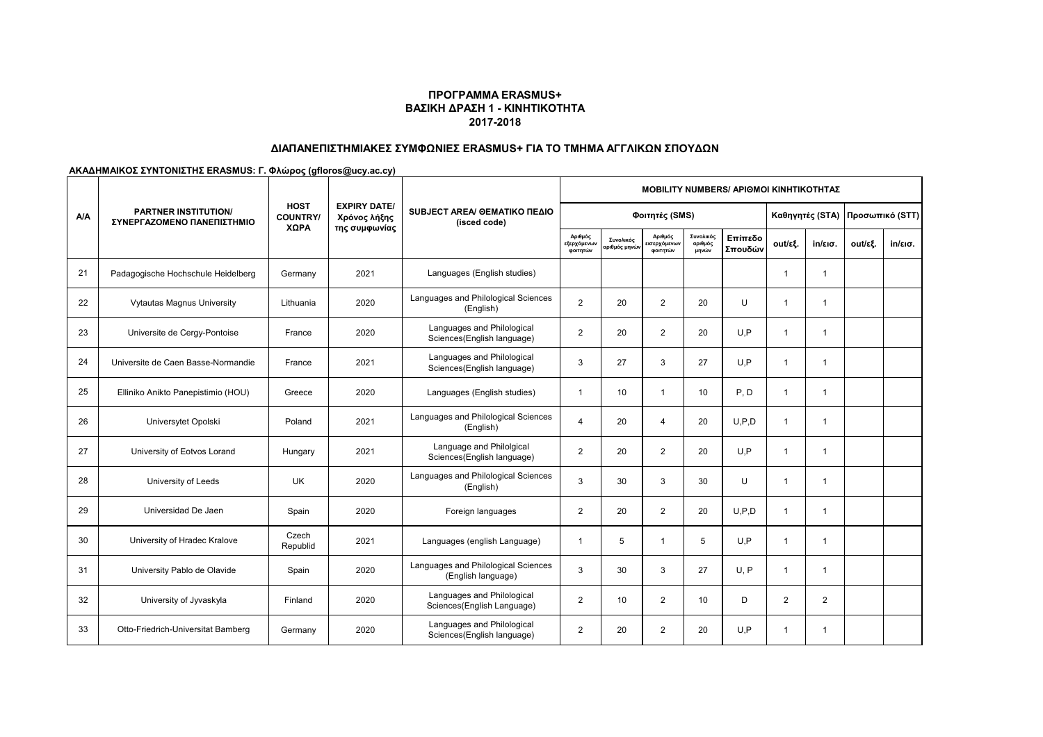# **ΔΙΑΠΑΝΕΠΙΣΤΗΜΙΑΚΕΣ ΣΥΜΦΩΝΙΕΣ ERASMUS+ ΓΙΑ ΤΟ ΤΜΗΜΑ ΑΓΓΛΙΚΩΝ ΣΠΟΥΔΩΝ**

|            | <b>PARTNER INSTITUTION/</b><br>ΣΥΝΕΡΓΑΖΟΜΕΝΟ ΠΑΝΕΠΙΣΤΗΜΙΟ |                               |                                                      |                                                           |                                    | <b>MOBILITY NUMBERS/ APIOMOI KINHTIKOTHTAZ</b> |                                    |                               |                                 |                |                   |         |                   |  |
|------------|-----------------------------------------------------------|-------------------------------|------------------------------------------------------|-----------------------------------------------------------|------------------------------------|------------------------------------------------|------------------------------------|-------------------------------|---------------------------------|----------------|-------------------|---------|-------------------|--|
| <b>A/A</b> |                                                           | <b>HOST</b><br><b>COUNTRY</b> | <b>EXPIRY DATE/</b><br>Χρόνος λήξης<br>της συμφωνίας | SUBJECT AREA/ GEMATIKO ΠΕΔΙΟ<br>(isced code)              |                                    | Φοιτητές (SMS)                                 |                                    |                               | Καθηγητές (STA) Προσωπικό (STT) |                |                   |         |                   |  |
|            |                                                           | ΧΩΡΑ                          |                                                      |                                                           | Αριθμός<br>εξερχόμενων<br>φοιτητών | Συνολικός<br>ιριθμός μηνών                     | Αριθμός<br>ισερχόμενων<br>φοιτητών | Συνολικός<br>αριθμός<br>μηνών | Επίπεδο<br>Σπουδών              | out/εξ.        | $in/\epsilon$ ισ. | out/εξ. | $in/\epsilon$ ισ. |  |
| 21         | Padagogische Hochschule Heidelberg                        | Germany                       | 2021                                                 | Languages (English studies)                               |                                    |                                                |                                    |                               |                                 | $\mathbf{1}$   | $\mathbf 1$       |         |                   |  |
| 22         | <b>Vytautas Magnus University</b>                         | Lithuania                     | 2020                                                 | Languages and Philological Sciences<br>(English)          | $\overline{2}$                     | 20                                             | $\overline{2}$                     | 20                            | U                               | $\mathbf{1}$   | $\mathbf{1}$      |         |                   |  |
| 23         | Universite de Cergy-Pontoise                              | France                        | 2020                                                 | Languages and Philological<br>Sciences(English language)  | $\overline{2}$                     | 20                                             | $\overline{2}$                     | 20                            | U.P                             | -1             | $\mathbf 1$       |         |                   |  |
| 24         | Universite de Caen Basse-Normandie                        | France                        | 2021                                                 | Languages and Philological<br>Sciences(English language)  | 3                                  | 27                                             | 3                                  | 27                            | U, P                            | $\mathbf{1}$   | $\mathbf{1}$      |         |                   |  |
| 25         | Elliniko Anikto Panepistimio (HOU)                        | Greece                        | 2020                                                 | Languages (English studies)                               | $\overline{1}$                     | 10                                             | $\mathbf{1}$                       | 10                            | P, D                            | $\mathbf{1}$   | $\overline{1}$    |         |                   |  |
| 26         | Universytet Opolski                                       | Poland                        | 2021                                                 | Languages and Philological Sciences<br>(English)          | $\overline{4}$                     | 20                                             | $\overline{4}$                     | 20                            | U.P.D                           | $\mathbf{1}$   | $\mathbf 1$       |         |                   |  |
| 27         | University of Eotvos Lorand                               | Hungary                       | 2021                                                 | Language and Philolgical<br>Sciences(English language)    | $\overline{2}$                     | 20                                             | $\overline{2}$                     | 20                            | U.P                             | $\mathbf{1}$   | $\mathbf 1$       |         |                   |  |
| 28         | University of Leeds                                       | UK                            | 2020                                                 | Languages and Philological Sciences<br>(English)          | 3                                  | 30                                             | 3                                  | 30                            | U                               | $\mathbf{1}$   | $\mathbf{1}$      |         |                   |  |
| 29         | Universidad De Jaen                                       | Spain                         | 2020                                                 | Foreign languages                                         | $\overline{2}$                     | 20                                             | $\overline{2}$                     | 20                            | U.P.D                           | $\mathbf{1}$   | $\mathbf 1$       |         |                   |  |
| 30         | University of Hradec Kralove                              | Czech<br>Republid             | 2021                                                 | Languages (english Language)                              | $\overline{1}$                     | 5                                              | $\mathbf{1}$                       | 5                             | U, P                            | $\mathbf{1}$   | $\mathbf{1}$      |         |                   |  |
| 31         | University Pablo de Olavide                               | Spain                         | 2020                                                 | Languages and Philological Sciences<br>(English language) | 3                                  | 30                                             | 3                                  | 27                            | U.P                             | $\mathbf 1$    | $\mathbf 1$       |         |                   |  |
| 32         | University of Jyvaskyla                                   | Finland                       | 2020                                                 | Languages and Philological<br>Sciences(English Language)  | $\overline{2}$                     | 10                                             | $\overline{2}$                     | 10                            | D                               | $\overline{2}$ | $\overline{2}$    |         |                   |  |
| 33         | Otto-Friedrich-Universitat Bamberg                        | Germany                       | 2020                                                 | Languages and Philological<br>Sciences(English language)  | $\overline{2}$                     | 20                                             | $\overline{2}$                     | 20                            | U, P                            | $\mathbf 1$    | $\mathbf{1}$      |         |                   |  |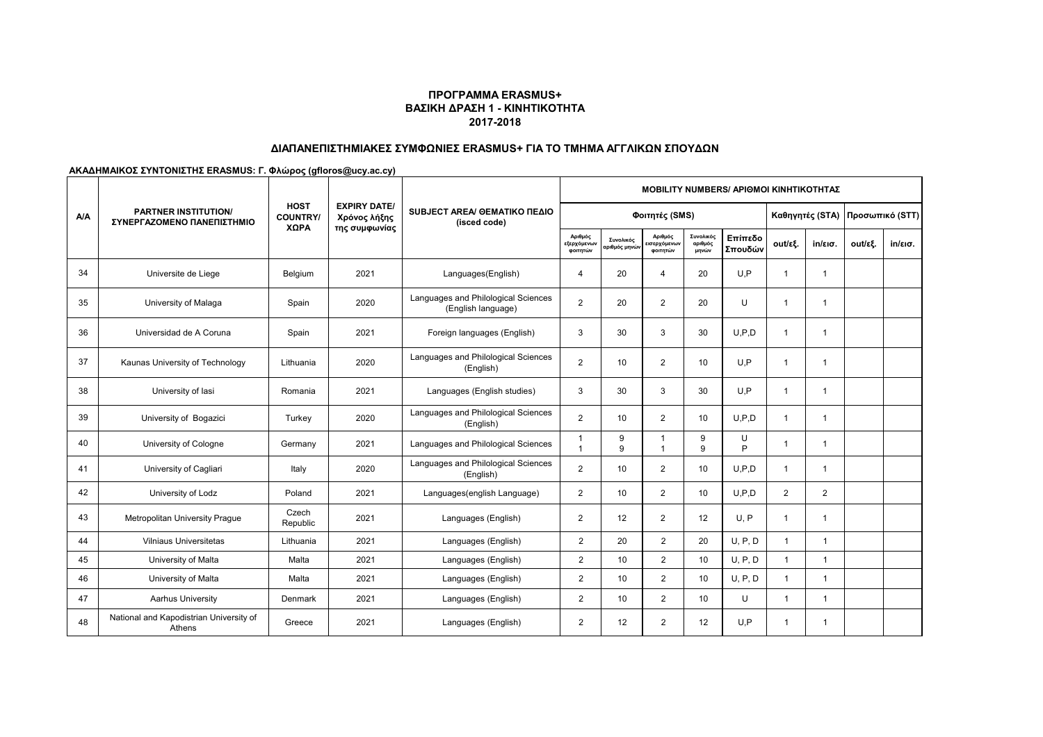# **ΔΙΑΠΑΝΕΠΙΣΤΗΜΙΑΚΕΣ ΣΥΜΦΩΝΙΕΣ ERASMUS+ ΓΙΑ ΤΟ ΤΜΗΜΑ ΑΓΓΛΙΚΩΝ ΣΠΟΥΔΩΝ**

|            | <b>PARTNER INSTITUTION/</b><br>ΣΥΝΕΡΓΑΖΟΜΕΝΟ ΠΑΝΕΠΙΣΤΗΜΙΟ |                                |                                                      | SUBJECT AREA/ GEMATIKO ΠΕΔΙΟ<br>(isced code)              | <b>MOBILITY NUMBERS/ APIOMOI KINHTIKOTHTAZ</b> |                                  |                                   |                               |                                 |                |                   |         |                   |  |  |
|------------|-----------------------------------------------------------|--------------------------------|------------------------------------------------------|-----------------------------------------------------------|------------------------------------------------|----------------------------------|-----------------------------------|-------------------------------|---------------------------------|----------------|-------------------|---------|-------------------|--|--|
| <b>A/A</b> |                                                           | <b>HOST</b><br><b>COUNTRY/</b> | <b>EXPIRY DATE/</b><br>Χρόνος λήξης<br>της συμφωνίας |                                                           |                                                | Φοιτητές (SMS)                   |                                   |                               | Καθηγητές (STA) Προσωπικό (STT) |                |                   |         |                   |  |  |
|            |                                                           | XΩPA                           |                                                      |                                                           | Αριθμός<br>εξερχόμενων<br>φοιτητών             | Συνολικός<br><b>χριθμός μηνώ</b> | Αριθμός<br>ισερχόμενω<br>φοιτητών | Συνολικός<br>αριθμός<br>μηνών | Επίπεδο<br>Σπουδών              | out/εξ.        | $in/\epsilon$ ισ. | out/εξ. | $in/\epsilon$ ισ. |  |  |
| 34         | Universite de Liege                                       | Belgium                        | 2021                                                 | Languages(English)                                        | 4                                              | 20                               | 4                                 | 20                            | U.P                             | -1             | $\mathbf 1$       |         |                   |  |  |
| 35         | University of Malaga                                      | Spain                          | 2020                                                 | Languages and Philological Sciences<br>(English language) | $\overline{2}$                                 | 20                               | 2                                 | 20                            | U                               |                | 1                 |         |                   |  |  |
| 36         | Universidad de A Coruna                                   | Spain                          | 2021                                                 | Foreign languages (English)                               | 3                                              | 30                               | 3                                 | 30                            | U.P.D                           |                |                   |         |                   |  |  |
| 37         | Kaunas University of Technology                           | Lithuania                      | 2020                                                 | Languages and Philological Sciences<br>(English)          | $\overline{2}$                                 | 10                               | 2                                 | 10                            | U.P                             | 1              | -1                |         |                   |  |  |
| 38         | University of lasi                                        | Romania                        | 2021                                                 | Languages (English studies)                               | 3                                              | 30                               | 3                                 | 30                            | U.P                             | 1              | $\overline{1}$    |         |                   |  |  |
| 39         | University of Bogazici                                    | Turkey                         | 2020                                                 | Languages and Philological Sciences<br>(English)          | $\overline{2}$                                 | 10                               | $\overline{2}$                    | 10                            | U.P.D                           |                | 1                 |         |                   |  |  |
| 40         | University of Cologne                                     | Germany                        | 2021                                                 | Languages and Philological Sciences                       | -1<br>$\overline{ }$                           | 9<br>9                           | $\mathbf{1}$<br>$\mathbf{1}$      | 9<br>9                        | U<br>P                          |                |                   |         |                   |  |  |
| 41         | University of Cagliari                                    | Italy                          | 2020                                                 | Languages and Philological Sciences<br>(English)          | $\overline{2}$                                 | 10                               | $\overline{2}$                    | 10                            | U.P.D                           | -1             | -1                |         |                   |  |  |
| 42         | University of Lodz                                        | Poland                         | 2021                                                 | Languages(english Language)                               | $\overline{2}$                                 | 10                               | $\overline{2}$                    | 10                            | U.P.D                           | $\overline{2}$ | $\overline{2}$    |         |                   |  |  |
| 43         | Metropolitan University Prague                            | Czech<br>Republic              | 2021                                                 | Languages (English)                                       | $\overline{2}$                                 | 12                               | $\overline{2}$                    | 12                            | U, P                            | -1             | -1                |         |                   |  |  |
| 44         | Vilniaus Universitetas                                    | Lithuania                      | 2021                                                 | Languages (English)                                       | $\overline{2}$                                 | 20                               | $\overline{2}$                    | 20                            | U, P, D                         | -1             | 1                 |         |                   |  |  |
| 45         | University of Malta                                       | Malta                          | 2021                                                 | Languages (English)                                       | $\overline{2}$                                 | 10                               | $\overline{2}$                    | 10                            | U, P, D                         | -1             | 1                 |         |                   |  |  |
| 46         | University of Malta                                       | Malta                          | 2021                                                 | Languages (English)                                       | $\overline{2}$                                 | 10                               | $\overline{2}$                    | 10                            | U, P, D                         | -1             | 1                 |         |                   |  |  |
| 47         | Aarhus University                                         | Denmark                        | 2021                                                 | Languages (English)                                       | $\overline{2}$                                 | 10                               | $\overline{2}$                    | 10                            | $\cup$                          | $\mathbf 1$    | $\overline{1}$    |         |                   |  |  |
| 48         | National and Kapodistrian University of<br>Athens         | Greece                         | 2021                                                 | Languages (English)                                       | $\overline{2}$                                 | 12                               | $\overline{2}$                    | 12                            | U.P                             | -1             | 1                 |         |                   |  |  |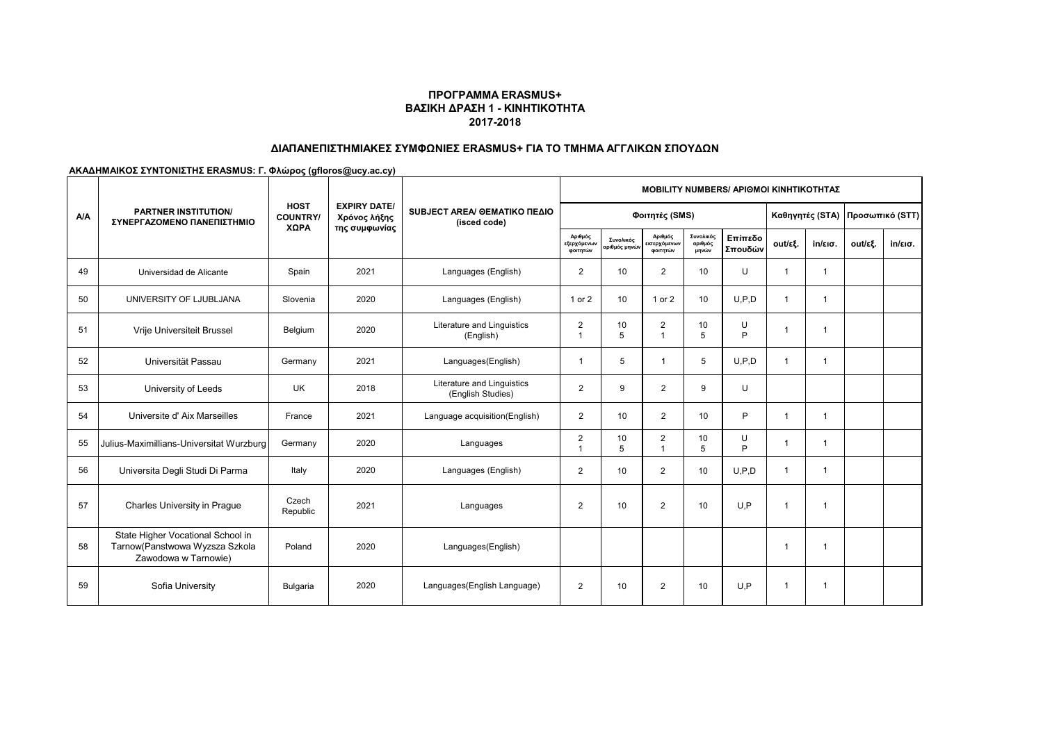# **ΔΙΑΠΑΝΕΠΙΣΤΗΜΙΑΚΕΣ ΣΥΜΦΩΝΙΕΣ ERASMUS+ ΓΙΑ ΤΟ ΤΜΗΜΑ ΑΓΓΛΙΚΩΝ ΣΠΟΥΔΩΝ**

|            |                                                                                             |                                        |                                                      | SUBJECT AREA/ GEMATIKO ΠΕΔΙΟ<br>(isced code)    | <b>MOBILITY NUMBERS/ APIOMOI KINHTIKOTHTAZ</b> |                                          |                                    |                               |                                 |                |                   |         |                   |  |
|------------|---------------------------------------------------------------------------------------------|----------------------------------------|------------------------------------------------------|-------------------------------------------------|------------------------------------------------|------------------------------------------|------------------------------------|-------------------------------|---------------------------------|----------------|-------------------|---------|-------------------|--|
| <b>A/A</b> | <b>PARTNER INSTITUTION/</b><br>ΣΥΝΕΡΓΑΖΟΜΕΝΟ ΠΑΝΕΠΙΣΤΗΜΙΟ                                   | <b>HOST</b><br><b>COUNTRY/</b><br>ΧΩΡΑ | <b>EXPIRY DATE/</b><br>Χρόνος λήξης<br>της συμφωνίας |                                                 |                                                | Φοιτητές (SMS)                           |                                    |                               | Καθηγητές (STA) Προσωπικό (STT) |                |                   |         |                   |  |
|            |                                                                                             |                                        |                                                      |                                                 | Αριθμός<br>εξερχόμενων<br>φοιτητών             | Συνολικός<br>αριθμός μηνώ <mark>ν</mark> | Αριθμός<br>ισερχόμενων<br>φοιτητών | Συνολικός<br>αριθμός<br>μηνών | Επίπεδο<br>Σπουδών              | out/εξ.        | $in/\epsilon$ ισ. | out/εξ. | $in/\epsilon$ ισ. |  |
| 49         | Universidad de Alicante                                                                     | Spain                                  | 2021                                                 | Languages (English)                             | $\overline{2}$                                 | 10                                       | $\overline{2}$                     | 10                            | U                               |                | $\mathbf{1}$      |         |                   |  |
| 50         | UNIVERSITY OF LJUBLJANA                                                                     | Slovenia                               | 2020                                                 | Languages (English)                             | 1 or 2                                         | 10                                       | 1 or 2                             | 10                            | U.P.D                           |                | 1                 |         |                   |  |
| 51         | Vrije Universiteit Brussel                                                                  | Belgium                                | 2020                                                 | Literature and Linguistics<br>(English)         | $\overline{2}$<br>$\overline{1}$               | 10<br>5                                  | $\overline{2}$<br>$\mathbf{1}$     | 10<br>5                       | U<br>P                          |                | 1                 |         |                   |  |
| 52         | Universität Passau                                                                          | Germany                                | 2021                                                 | Languages(English)                              | $\mathbf 1$                                    | 5                                        | $\mathbf{1}$                       | 5                             | U.P.D                           | -1             | 1                 |         |                   |  |
| 53         | University of Leeds                                                                         | <b>UK</b>                              | 2018                                                 | Literature and Linguistics<br>(English Studies) | $\overline{2}$                                 | 9                                        | $\overline{2}$                     | 9                             | $\cup$                          |                |                   |         |                   |  |
| 54         | Universite d'Aix Marseilles                                                                 | France                                 | 2021                                                 | Language acquisition(English)                   | $\overline{2}$                                 | 10                                       | $\overline{2}$                     | 10                            | P                               | $\overline{1}$ | $\mathbf{1}$      |         |                   |  |
| 55         | Julius-Maximillians-Universitat Wurzburg                                                    | Germany                                | 2020                                                 | Languages                                       | $\overline{2}$                                 | 10<br>5                                  | $\overline{c}$<br>$\mathbf{1}$     | 10<br>5                       | U<br>P                          |                | 1                 |         |                   |  |
| 56         | Universita Degli Studi Di Parma                                                             | Italy                                  | 2020                                                 | Languages (English)                             | $\overline{2}$                                 | 10                                       | $\overline{2}$                     | 10                            | U.P.D                           | -1             | 1                 |         |                   |  |
| 57         | Charles University in Prague                                                                | Czech<br>Republic                      | 2021                                                 | Languages                                       | $\overline{2}$                                 | 10                                       | 2                                  | 10                            | U.P                             | -1             | $\mathbf{1}$      |         |                   |  |
| 58         | State Higher Vocational School in<br>Tarnow(Panstwowa Wyzsza Szkola<br>Zawodowa w Tarnowie) | Poland                                 | 2020                                                 | Languages(English)                              |                                                |                                          |                                    |                               |                                 | -1             | 1                 |         |                   |  |
| 59         | Sofia University                                                                            | Bulgaria                               | 2020                                                 | Languages(English Language)                     | $\overline{2}$                                 | 10                                       | 2                                  | 10                            | U.P                             | -1             | 1                 |         |                   |  |